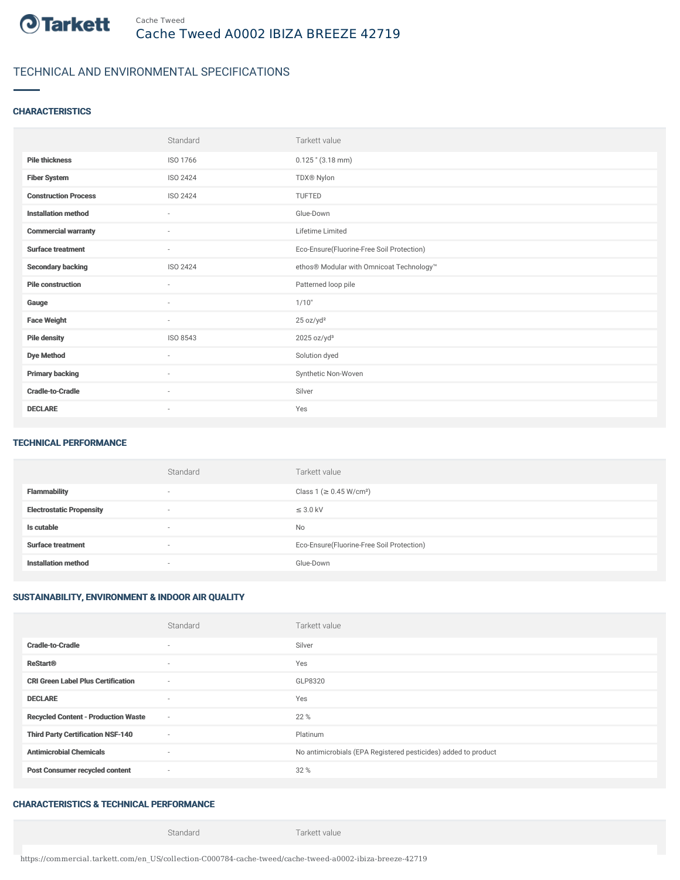

# TECHNICAL AND ENVIRONMENTAL SPECIFICATIONS

### **CHARACTERISTICS**

|                             | Standard                 | Tarkett value                             |
|-----------------------------|--------------------------|-------------------------------------------|
| <b>Pile thickness</b>       | ISO 1766                 | $0.125$ " $(3.18$ mm)                     |
| <b>Fiber System</b>         | ISO 2424                 | TDX® Nylon                                |
| <b>Construction Process</b> | ISO 2424                 | <b>TUFTED</b>                             |
| <b>Installation method</b>  | $\sim$                   | Glue-Down                                 |
| <b>Commercial warranty</b>  | $\sim$                   | Lifetime Limited                          |
| <b>Surface treatment</b>    | $\overline{\phantom{a}}$ | Eco-Ensure(Fluorine-Free Soil Protection) |
| <b>Secondary backing</b>    | ISO 2424                 | ethos® Modular with Omnicoat Technology™  |
| <b>Pile construction</b>    | $\sim$                   | Patterned loop pile                       |
| Gauge                       | $\overline{\phantom{a}}$ | 1/10"                                     |
| <b>Face Weight</b>          | $\sim$                   | 25 oz/yd <sup>2</sup>                     |
| <b>Pile density</b>         | ISO 8543                 | $2025$ oz/yd <sup>3</sup>                 |
| <b>Dye Method</b>           | $\sim$                   | Solution dyed                             |
| <b>Primary backing</b>      | ×                        | Synthetic Non-Woven                       |
| <b>Cradle-to-Cradle</b>     | ٠                        | Silver                                    |
| <b>DECLARE</b>              | $\overline{\phantom{a}}$ | Yes                                       |

#### TECHNICAL PERFORMANCE

|                                 | Standard                 | Tarkett value                             |
|---------------------------------|--------------------------|-------------------------------------------|
| <b>Flammability</b>             |                          | Class 1 (≥ 0.45 W/cm <sup>2</sup> )       |
| <b>Electrostatic Propensity</b> | $\overline{\phantom{a}}$ | $\leq$ 3.0 kV                             |
| Is cutable                      |                          | No                                        |
| <b>Surface treatment</b>        | $\overline{\phantom{a}}$ | Eco-Ensure(Fluorine-Free Soil Protection) |
| <b>Installation method</b>      |                          | Glue-Down                                 |

## SUSTAINABILITY, ENVIRONMENT & INDOOR AIR QUALITY

|                                            | Standard                 | Tarkett value                                                  |
|--------------------------------------------|--------------------------|----------------------------------------------------------------|
| <b>Cradle-to-Cradle</b>                    | ٠                        | Silver                                                         |
| <b>ReStart®</b>                            | $\sim$                   | Yes                                                            |
| <b>CRI Green Label Plus Certification</b>  | $\overline{\phantom{a}}$ | GLP8320                                                        |
| <b>DECLARE</b>                             | $\sim$                   | Yes                                                            |
| <b>Recycled Content - Production Waste</b> | $\sim$                   | 22 %                                                           |
| <b>Third Party Certification NSF-140</b>   | $\sim$                   | Platinum                                                       |
| <b>Antimicrobial Chemicals</b>             | $\sim$                   | No antimicrobials (EPA Registered pesticides) added to product |
| <b>Post Consumer recycled content</b>      | $\sim$                   | 32 %                                                           |

### CHARACTERISTICS & TECHNICAL PERFORMANCE

Standard Tarkett value